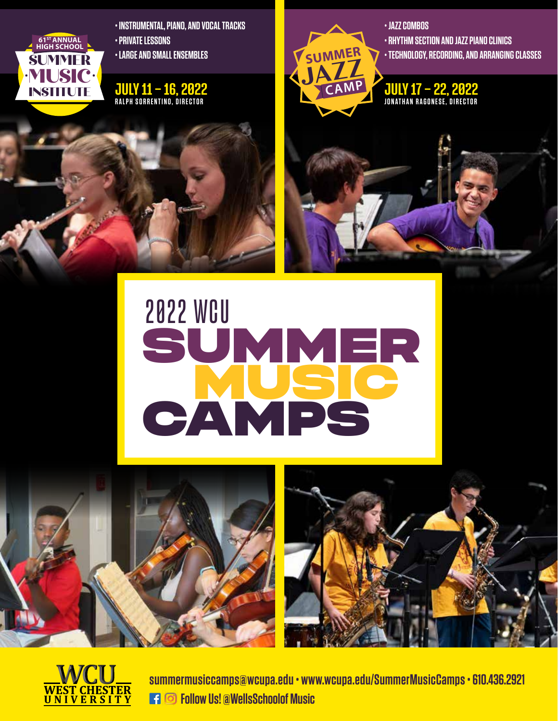

**• INSTRUMENTAL, PIANO, AND VOCAL TRACKS • PRIVATE LESSONS** 

**• LARGE AND SMALL ENSEMBLES**

### JULY 11 – 16, 2022 **RALPH SORRENTINO, DIRECTOR**



**• JAZZ COMBOS • RHYTHM SECTION AND JAZZ PIANO CLINICS • TECHNOLOGY, RECORDING, AND ARRANGING CLASSES**

JULY 17 – 22, 2022 **JONATHAN RAGONESE, DIRECTOR**

# SUMMER **MUSIC CAMPS** 2022 WCU







**summermusiccamps@wcupa.edu • www.wcupa.edu/SummerMusicCamps • 610.436.2921 Follow Us! @WellsSchoolof Music**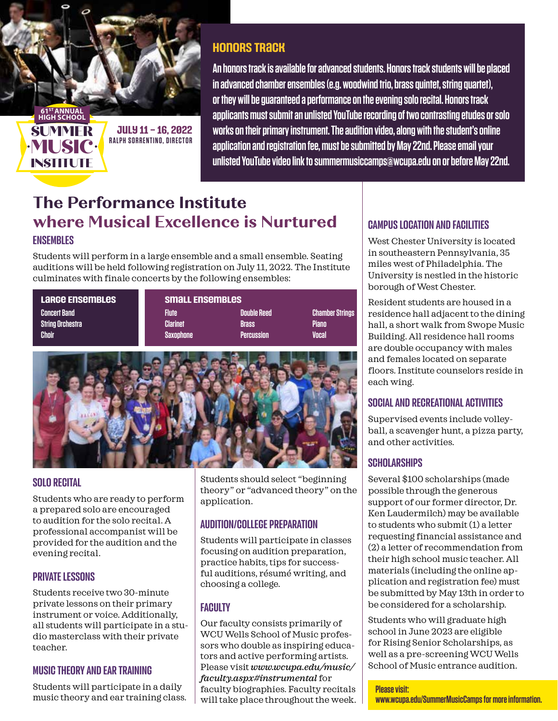

# **Honors Track**

**An honors track is available for advanced students. Honors track students will be placed in advanced chamber ensembles (e.g. woodwind trio, brass quintet, string quartet), or they will be guaranteed a performance on the evening solo recital. Honors track applicants must submit an unlisted YouTube recording of two contrasting etudes or solo works on their primary instrument. The audition video, along with the student's online application and registration fee, must be submitted by May 22nd. Please email your unlisted YouTube video link to summermusiccamps@wcupa.edu on or before May 22nd.** 

# ENSEMBLES **The Performance Institute where Musical Excellence is Nurtured**

Students will perform in a large ensemble and a small ensemble. Seating auditions will be held following registration on July 11, 2022. The Institute culminates with finale concerts by the following ensembles:

**Large Ensembles Small Ensembles Concert Band Flute Double Reed Chamber Strings String Orchestra Clarinet Brass Piano Choir Saxophone Percussion Vocal**



### SOLO RECITAL

Students who are ready to perform a prepared solo are encouraged to audition for the solo recital. A professional accompanist will be provided for the audition and the evening recital.

### PRIVATE LESSONS

Students receive two 30-minute private lessons on their primary instrument or voice. Additionally, all students will participate in a studio masterclass with their private teacher.

### MUSIC THEORY AND EAR TRAINING

Students will participate in a daily music theory and ear training class.

Students should select "beginning theory" or "advanced theory" on the application.

### AUDITION/COLLEGE PREPARATION

Students will participate in classes focusing on audition preparation, practice habits, tips for successful auditions, résumé writing, and choosing a college.

## **FACULTY**

Our faculty consists primarily of WCU Wells School of Music professors who double as inspiring educators and active performing artists. Please visit *www.wcupa.edu/music/ faculty.aspx#instrumental* for faculty biographies. Faculty recitals will take place throughout the week.

### CAMPUS LOCATION AND FACILITIES

West Chester University is located in southeastern Pennsylvania, 35 miles west of Philadelphia. The University is nestled in the historic borough of West Chester.

Resident students are housed in a residence hall adjacent to the dining hall, a short walk from Swope Music Building. All residence hall rooms are double occupancy with males and females located on separate floors. Institute counselors reside in each wing.

### SOCIAL AND RECREATIONAL ACTIVITIES

Supervised events include volleyball, a scavenger hunt, a pizza party, and other activities.

### **SCHOLARSHIPS**

Several \$100 scholarships (made possible through the generous support of our former director, Dr. Ken Laudermilch) may be available to students who submit (1) a letter requesting financial assistance and (2) a letter of recommendation from their high school music teacher. All materials (including the online application and registration fee) must be submitted by May 13th in order to be considered for a scholarship.

Students who will graduate high school in June 2023 are eligible for Rising Senior Scholarships, as well as a pre-screening WCU Wells School of Music entrance audition.

**Please visit:** 

**www.wcupa.edu/SummerMusicCamps for more information.**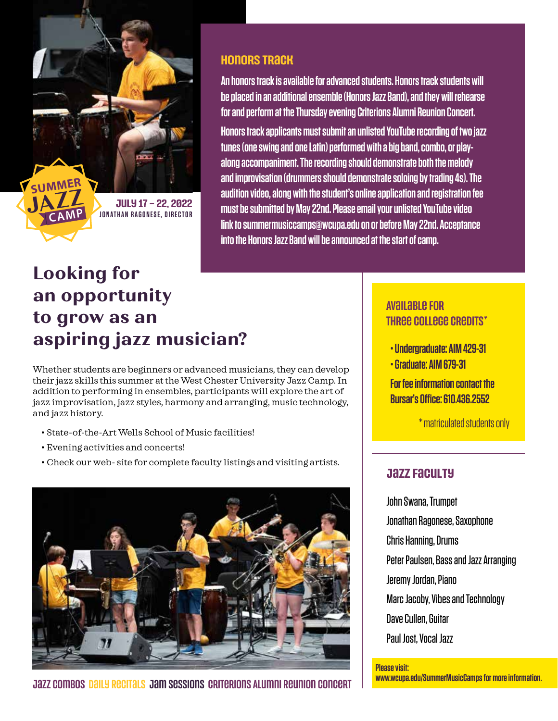**July 17 – 22, 2022 JONATHAN RAGONESE, DIRECTOR**

**JAZZ SUMMER**

**CAM<sup>P</sup>**

# **Looking for an opportunity to grow as an aspiring jazz musician?**

Whether students are beginners or advanced musicians, they can develop their jazz skills this summer at the West Chester University Jazz Camp. In addition to performing in ensembles, participants will explore the art of jazz improvisation, jazz styles, harmony and arranging, music technology, and jazz history.**l**

- State-of-the-Art Wells School of Music facilities!
- Evening activities and concerts!
- Check our web- site for complete faculty listings and visiting artists.



Jazz Combos Daily Recitals Jam Sessions Criterions Alumni Reunion Concert

# **Honors Track**

**An honors track is available for advanced students. Honors track students will be placed in an additional ensemble (Honors Jazz Band), and they will rehearse for and perform at the Thursday evening Criterions Alumni Reunion Concert. Honors track applicants must submit an unlisted YouTube recording of two jazz tunes (one swing and one Latin) performed with a big band, combo, or playalong accompaniment. The recording should demonstrate both the melody and improvisation (drummers should demonstrate soloing by trading 4s). The audition video, along with the student's online application and registration fee must be submitted by May 22nd. Please email your unlisted YouTube video link to summermusiccamps@wcupa.edu on or before May 22nd. Acceptance into the Honors Jazz Band will be announced at the start of camp.** 

# Available for Three College Credits\*

- **Undergraduate: AIM 429-31**
- **Graduate: AIM 679-31**

**For fee information contact the Bursar's Office: 610.436.2552**

\* matriculated students only

### **Jazz Faculty**

John Swana, Trumpet Jonathan Ragonese, Saxophone Chris Hanning, Drums Peter Paulsen, Bass and Jazz Arranging Jeremy Jordan, Piano Marc Jacoby, Vibes and Technology Dave Cullen, Guitar Paul Jost, Vocal Jazz

#### **Please visit:**

**www.wcupa.edu/SummerMusicCamps for more information.**